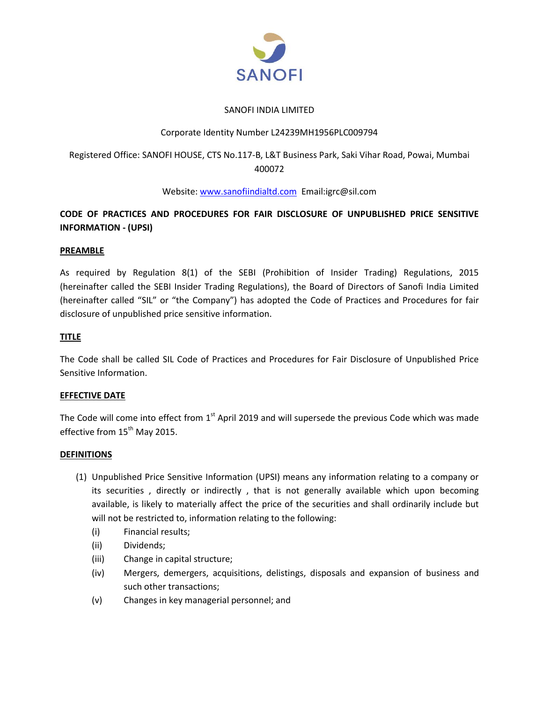

## SANOFI INDIA LIMITED

## Corporate Identity Number L24239MH1956PLC009794

# Registered Office: SANOFI HOUSE, CTS No.117-B, L&T Business Park, Saki Vihar Road, Powai, Mumbai 400072

## Website[: www.sanofiindialtd.com](http://www.sanofiindialtd.com/) Email:igrc@sil.com

# **CODE OF PRACTICES AND PROCEDURES FOR FAIR DISCLOSURE OF UNPUBLISHED PRICE SENSITIVE INFORMATION - (UPSI)**

## **PREAMBLE**

As required by Regulation 8(1) of the SEBI (Prohibition of Insider Trading) Regulations, 2015 (hereinafter called the SEBI Insider Trading Regulations), the Board of Directors of Sanofi India Limited (hereinafter called "SIL" or "the Company") has adopted the Code of Practices and Procedures for fair disclosure of unpublished price sensitive information.

## **TITLE**

The Code shall be called SIL Code of Practices and Procedures for Fair Disclosure of Unpublished Price Sensitive Information.

## **EFFECTIVE DATE**

The Code will come into effect from  $1<sup>st</sup>$  April 2019 and will supersede the previous Code which was made effective from 15<sup>th</sup> May 2015.

## **DEFINITIONS**

- (1) Unpublished Price Sensitive Information (UPSI) means any information relating to a company or its securities , directly or indirectly , that is not generally available which upon becoming available, is likely to materially affect the price of the securities and shall ordinarily include but will not be restricted to, information relating to the following:
	- (i) Financial results;
	- (ii) Dividends;
	- (iii) Change in capital structure;
	- (iv) Mergers, demergers, acquisitions, delistings, disposals and expansion of business and such other transactions;
	- (v) Changes in key managerial personnel; and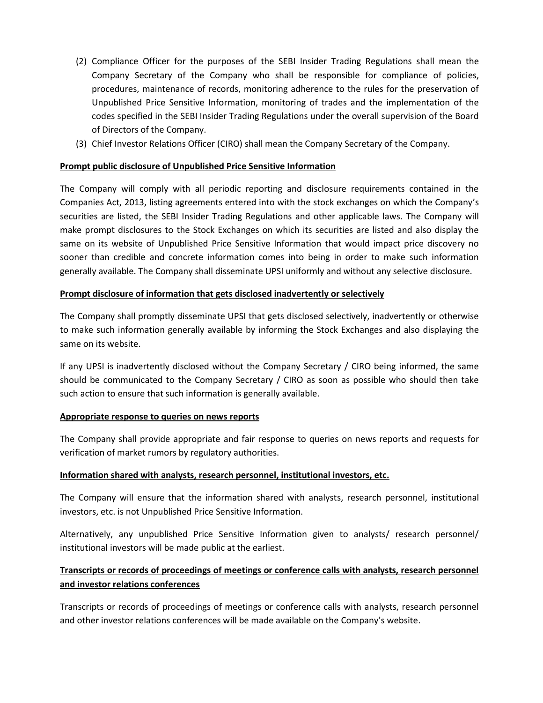- (2) Compliance Officer for the purposes of the SEBI Insider Trading Regulations shall mean the Company Secretary of the Company who shall be responsible for compliance of policies, procedures, maintenance of records, monitoring adherence to the rules for the preservation of Unpublished Price Sensitive Information, monitoring of trades and the implementation of the codes specified in the SEBI Insider Trading Regulations under the overall supervision of the Board of Directors of the Company.
- (3) Chief Investor Relations Officer (CIRO) shall mean the Company Secretary of the Company.

### **Prompt public disclosure of Unpublished Price Sensitive Information**

The Company will comply with all periodic reporting and disclosure requirements contained in the Companies Act, 2013, listing agreements entered into with the stock exchanges on which the Company's securities are listed, the SEBI Insider Trading Regulations and other applicable laws. The Company will make prompt disclosures to the Stock Exchanges on which its securities are listed and also display the same on its website of Unpublished Price Sensitive Information that would impact price discovery no sooner than credible and concrete information comes into being in order to make such information generally available. The Company shall disseminate UPSI uniformly and without any selective disclosure.

### **Prompt disclosure of information that gets disclosed inadvertently or selectively**

The Company shall promptly disseminate UPSI that gets disclosed selectively, inadvertently or otherwise to make such information generally available by informing the Stock Exchanges and also displaying the same on its website.

If any UPSI is inadvertently disclosed without the Company Secretary / CIRO being informed, the same should be communicated to the Company Secretary / CIRO as soon as possible who should then take such action to ensure that such information is generally available.

#### **Appropriate response to queries on news reports**

The Company shall provide appropriate and fair response to queries on news reports and requests for verification of market rumors by regulatory authorities.

#### **Information shared with analysts, research personnel, institutional investors, etc.**

The Company will ensure that the information shared with analysts, research personnel, institutional investors, etc. is not Unpublished Price Sensitive Information.

Alternatively, any unpublished Price Sensitive Information given to analysts/ research personnel/ institutional investors will be made public at the earliest.

# **Transcripts or records of proceedings of meetings or conference calls with analysts, research personnel and investor relations conferences**

Transcripts or records of proceedings of meetings or conference calls with analysts, research personnel and other investor relations conferences will be made available on the Company's website.